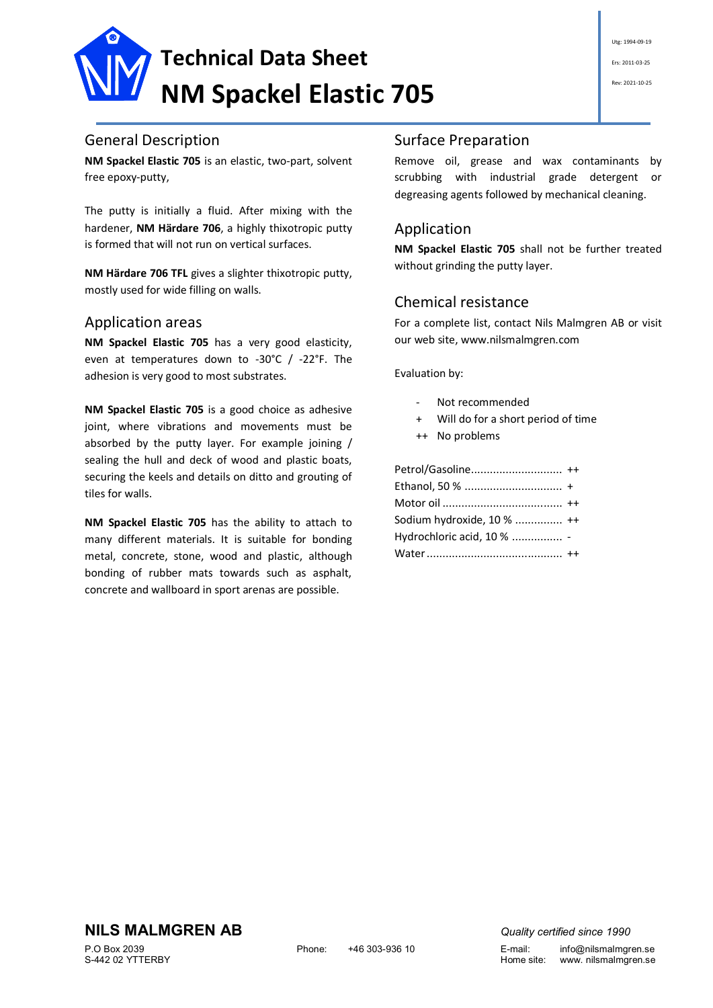

#### General Description

**NM Spackel Elastic 705** is an elastic, two-part, solvent free epoxy-putty,

The putty is initially a fluid. After mixing with the hardener, **NM Härdare 706**, a highly thixotropic putty is formed that will not run on vertical surfaces.

**NM Härdare 706 TFL** gives a slighter thixotropic putty, mostly used for wide filling on walls.

#### Application areas

**NM Spackel Elastic 705** has a very good elasticity, even at temperatures down to -30°C / -22°F. The adhesion is very good to most substrates.

**NM Spackel Elastic 705** is a good choice as adhesive joint, where vibrations and movements must be absorbed by the putty layer. For example joining / sealing the hull and deck of wood and plastic boats, securing the keels and details on ditto and grouting of tiles for walls.

**NM Spackel Elastic 705** has the ability to attach to many different materials. It is suitable for bonding metal, concrete, stone, wood and plastic, although bonding of rubber mats towards such as asphalt, concrete and wallboard in sport arenas are possible.

### Surface Preparation

Remove oil, grease and wax contaminants by scrubbing with industrial grade detergent or degreasing agents followed by mechanical cleaning.

## Application

**NM Spackel Elastic 705** shall not be further treated without grinding the putty layer.

## Chemical resistance

For a complete list, contact Nils Malmgren AB or visit our web site, www.nilsmalmgren.com

Evaluation by:

- Not recommended
- Will do for a short period of time
- ++ No problems

Petrol/Gasoline............................. ++ Ethanol, 50 % ............................... + Motor oil ...................................... ++ Sodium hydroxide, 10 % ............... ++ Hydrochloric acid, 10 % ................ - Water........................................... ++